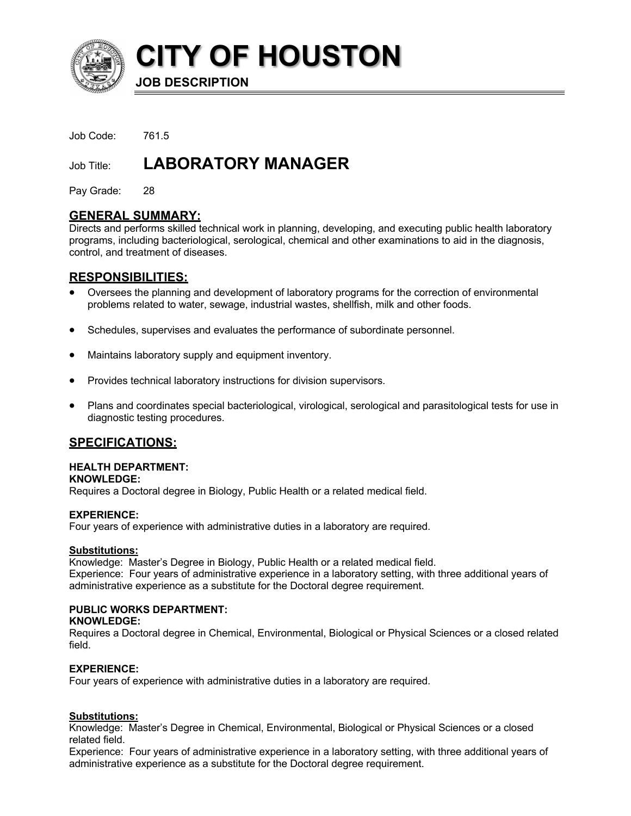

**CITY OF HOUSTON**

**JOB DESCRIPTION**

Job Code: 761.5

# Job Title: **LABORATORY MANAGER**

Pay Grade: 28

# **GENERAL SUMMARY:**

Directs and performs skilled technical work in planning, developing, and executing public health laboratory programs, including bacteriological, serological, chemical and other examinations to aid in the diagnosis, control, and treatment of diseases.

# **RESPONSIBILITIES:**

- Oversees the planning and development of laboratory programs for the correction of environmental problems related to water, sewage, industrial wastes, shellfish, milk and other foods.
- Schedules, supervises and evaluates the performance of subordinate personnel.
- Maintains laboratory supply and equipment inventory.
- Provides technical laboratory instructions for division supervisors.
- Plans and coordinates special bacteriological, virological, serological and parasitological tests for use in diagnostic testing procedures.

# **SPECIFICATIONS:**

## **HEALTH DEPARTMENT:**

#### **KNOWLEDGE:**

Requires a Doctoral degree in Biology, Public Health or a related medical field.

## **EXPERIENCE:**

Four years of experience with administrative duties in a laboratory are required.

## **Substitutions:**

Knowledge: Master's Degree in Biology, Public Health or a related medical field. Experience: Four years of administrative experience in a laboratory setting, with three additional years of administrative experience as a substitute for the Doctoral degree requirement.

# **PUBLIC WORKS DEPARTMENT:**

**KNOWLEDGE:**

Requires a Doctoral degree in Chemical, Environmental, Biological or Physical Sciences or a closed related field.

## **EXPERIENCE:**

Four years of experience with administrative duties in a laboratory are required.

## **Substitutions:**

Knowledge: Master's Degree in Chemical, Environmental, Biological or Physical Sciences or a closed related field.

Experience: Four years of administrative experience in a laboratory setting, with three additional years of administrative experience as a substitute for the Doctoral degree requirement.